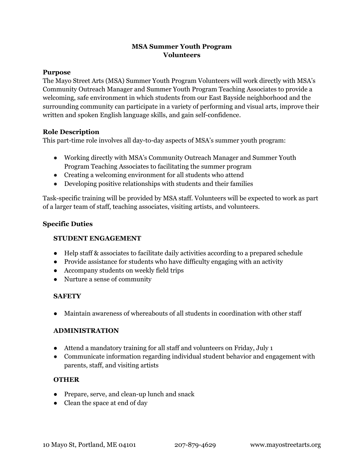# **MSA Summer Youth Program Volunteers**

#### **Purpose**

The Mayo Street Arts (MSA) Summer Youth Program Volunteers will work directly with MSA's Community Outreach Manager and Summer Youth Program Teaching Associates to provide a welcoming, safe environment in which students from our East Bayside neighborhood and the surrounding community can participate in a variety of performing and visual arts, improve their written and spoken English language skills, and gain self-confidence.

#### **Role Description**

This part-time role involves all day-to-day aspects of MSA's summer youth program:

- Working directly with MSA's Community Outreach Manager and Summer Youth Program Teaching Associates to facilitating the summer program
- Creating a welcoming environment for all students who attend
- Developing positive relationships with students and their families

Task-specific training will be provided by MSA staff. Volunteers will be expected to work as part of a larger team of staff, teaching associates, visiting artists, and volunteers.

#### **Specific Duties**

#### **STUDENT ENGAGEMENT**

- Help staff & associates to facilitate daily activities according to a prepared schedule
- Provide assistance for students who have difficulty engaging with an activity
- Accompany students on weekly field trips
- Nurture a sense of community

# **SAFETY**

● Maintain awareness of whereabouts of all students in coordination with other staff

#### **ADMINISTRATION**

- Attend a mandatory training for all staff and volunteers on Friday, July 1
- Communicate information regarding individual student behavior and engagement with parents, staff, and visiting artists

# **OTHER**

- Prepare, serve, and clean-up lunch and snack
- Clean the space at end of day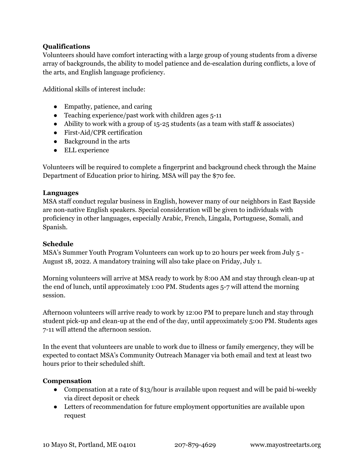# **Qualifications**

Volunteers should have comfort interacting with a large group of young students from a diverse array of backgrounds, the ability to model patience and de-escalation during conflicts, a love of the arts, and English language proficiency.

Additional skills of interest include:

- Empathy, patience, and caring
- Teaching experience/past work with children ages 5-11
- Ability to work with a group of 15-25 students (as a team with staff & associates)
- First-Aid/CPR certification
- Background in the arts
- ELL experience

Volunteers will be required to complete a fingerprint and background check through the Maine Department of Education prior to hiring. MSA will pay the \$70 fee.

# **Languages**

MSA staff conduct regular business in English, however many of our neighbors in East Bayside are non-native English speakers. Special consideration will be given to individuals with proficiency in other languages, especially Arabic, French, Lingala, Portuguese, Somali, and Spanish.

# **Schedule**

MSA's Summer Youth Program Volunteers can work up to 20 hours per week from July 5 - August 18, 2022. A mandatory training will also take place on Friday, July 1.

Morning volunteers will arrive at MSA ready to work by 8:00 AM and stay through clean-up at the end of lunch, until approximately 1:00 PM. Students ages 5-7 will attend the morning session.

Afternoon volunteers will arrive ready to work by 12:00 PM to prepare lunch and stay through student pick-up and clean-up at the end of the day, until approximately 5:00 PM. Students ages 7-11 will attend the afternoon session.

In the event that volunteers are unable to work due to illness or family emergency, they will be expected to contact MSA's Community Outreach Manager via both email and text at least two hours prior to their scheduled shift.

# **Compensation**

- Compensation at a rate of \$13/hour is available upon request and will be paid bi-weekly via direct deposit or check
- Letters of recommendation for future employment opportunities are available upon request